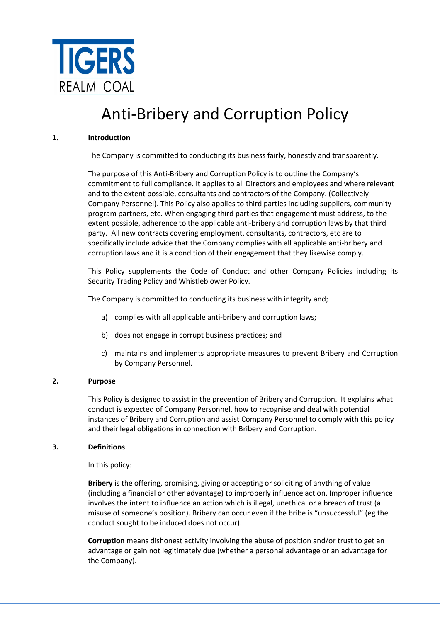

# Anti-Bribery and Corruption Policy

# 1. Introduction

The Company is committed to conducting its business fairly, honestly and transparently.

The purpose of this Anti-Bribery and Corruption Policy is to outline the Company's commitment to full compliance. It applies to all Directors and employees and where relevant and to the extent possible, consultants and contractors of the Company. (Collectively Company Personnel). This Policy also applies to third parties including suppliers, community program partners, etc. When engaging third parties that engagement must address, to the extent possible, adherence to the applicable anti-bribery and corruption laws by that third party. All new contracts covering employment, consultants, contractors, etc are to specifically include advice that the Company complies with all applicable anti-bribery and corruption laws and it is a condition of their engagement that they likewise comply.

This Policy supplements the Code of Conduct and other Company Policies including its Security Trading Policy and Whistleblower Policy.

The Company is committed to conducting its business with integrity and;

- a) complies with all applicable anti-bribery and corruption laws;
- b) does not engage in corrupt business practices; and
- c) maintains and implements appropriate measures to prevent Bribery and Corruption by Company Personnel.

# 2. Purpose

This Policy is designed to assist in the prevention of Bribery and Corruption. It explains what conduct is expected of Company Personnel, how to recognise and deal with potential instances of Bribery and Corruption and assist Company Personnel to comply with this policy and their legal obligations in connection with Bribery and Corruption.

# 3. Definitions

In this policy:

Bribery is the offering, promising, giving or accepting or soliciting of anything of value (including a financial or other advantage) to improperly influence action. Improper influence involves the intent to influence an action which is illegal, unethical or a breach of trust (a misuse of someone's position). Bribery can occur even if the bribe is "unsuccessful" (eg the conduct sought to be induced does not occur).

Corruption means dishonest activity involving the abuse of position and/or trust to get an advantage or gain not legitimately due (whether a personal advantage or an advantage for the Company).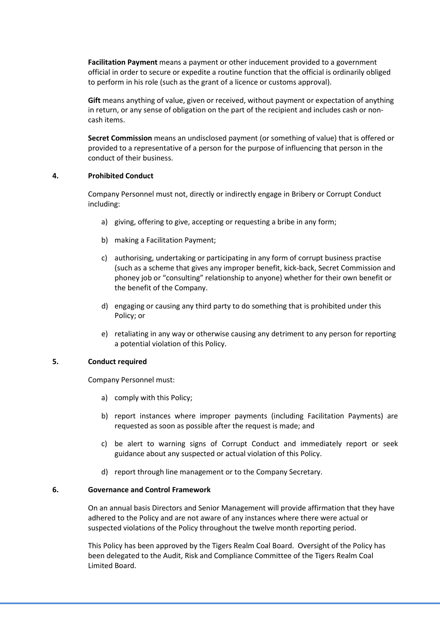Facilitation Payment means a payment or other inducement provided to a government official in order to secure or expedite a routine function that the official is ordinarily obliged to perform in his role (such as the grant of a licence or customs approval).

Gift means anything of value, given or received, without payment or expectation of anything in return, or any sense of obligation on the part of the recipient and includes cash or noncash items.

Secret Commission means an undisclosed payment (or something of value) that is offered or provided to a representative of a person for the purpose of influencing that person in the conduct of their business.

# 4. Prohibited Conduct

Company Personnel must not, directly or indirectly engage in Bribery or Corrupt Conduct including:

- a) giving, offering to give, accepting or requesting a bribe in any form;
- b) making a Facilitation Payment;
- c) authorising, undertaking or participating in any form of corrupt business practise (such as a scheme that gives any improper benefit, kick-back, Secret Commission and phoney job or "consulting" relationship to anyone) whether for their own benefit or the benefit of the Company.
- d) engaging or causing any third party to do something that is prohibited under this Policy; or
- e) retaliating in any way or otherwise causing any detriment to any person for reporting a potential violation of this Policy.

# 5. Conduct required

Company Personnel must:

- a) comply with this Policy;
- b) report instances where improper payments (including Facilitation Payments) are requested as soon as possible after the request is made; and
- c) be alert to warning signs of Corrupt Conduct and immediately report or seek guidance about any suspected or actual violation of this Policy.
- d) report through line management or to the Company Secretary.

# 6. Governance and Control Framework

On an annual basis Directors and Senior Management will provide affirmation that they have adhered to the Policy and are not aware of any instances where there were actual or suspected violations of the Policy throughout the twelve month reporting period.

This Policy has been approved by the Tigers Realm Coal Board. Oversight of the Policy has been delegated to the Audit, Risk and Compliance Committee of the Tigers Realm Coal Limited Board.